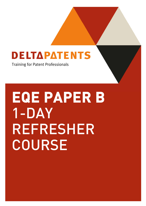### **DELTAPATENTS**

Training for Patent Professionals

**EQE PAPER B**  1-DAY REFRESHER COURSE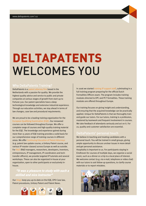## **DELTAPATENTS**  WELCOMES YOU

### Why DeltaPatents Training?<br>DeltaPatents is a patent attorney firm based in the

Netherlands with a passion for quality. We provide the highest quality advice and service to public and private companies at various stages of growth from start-up to Fortune 500. Our patent specialists have a deep technological knowledge and extensive industrial experience. Through our education activities, we stay ahead in terms of law changes, case law and procedural requirements.

We are proud to be a leading training organization for the European Qualifying Examination (EQE). Our renowned courses can be followed throughout Europe. We offer a complete range of courses and high-quality training material for the EQE. The knowledge and experience gained during more than 15 years of EQE training provides a solid basis for our comprehensive range of training courses in different areas. We offer Continuing Education of Patent Attorneys (e.g. patent law update course, a Unitary Patent course, and various IP master classes) across Europe as well as outside. For R&D (R&D managers, researchers, developers, inventors, entrepreneurs, IP management, IP coordinators and techtransfer officers), we provide targeted IP tutorials and several workshops. These can also be organized in-house at your organization, open to other participants or exclusively inhouse.

#### **"It was a pleasure to study with such a skilled and nice instructor**

Our blogs keep you up-to-date on the EQE, EPO Case law, Patent procedures, Unitary Patent and Patent News.



In 2006 we started training IP support staff, culminating in a full training program preparing for the official Dutch Formalities Officers exam. The program includes training modules directed to EPC and PCT formalities. These training modules are offered throughout Europe.

Our training focuses on giving insight and understanding, and ensuring that the acquired knowledge can be practically applied. Unique for DeltaPatents is that we thoroughly train and guide our tutors. For our tutors, training is a profession, mastered by teamwork and frequent involvement in courses. We take feedback of attendants seriously and act on it. For us, quality and customer satisfaction are essential.

### DeltaPatents' personal touch We believe in teaching and treating candidates with a

personal touch. You will be trained in small groups, giving ample opportunity to discuss unclear issues in more detail and get personal assistance.

Hospitality is important to us. For participants staying in Eindhoven for courses of multiple days, we organize a social event, such as a dinner or a trip to a local place of interest. We welcome contact (e.g. via e-mail, telephone or video chat) with our tutors to ask follow-up questions, to clarify course materials or to report mistakes.

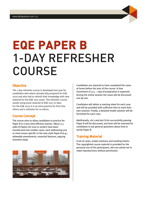

# **EQE PAPER B**  1-DAY REFRESHER COURSE

#### **Objective**

The 1-day refresher course is developed last year for candidates who where already fully prepared for EQE 2020 and who had to refresh their knowledge with new material for the EQE 2021 exam. The refresher course avoids using exam material of EQE 2017 or later. For the EQE 2023 it is an extra practice for first time sitters and a refresher for re-sitters.

#### **Course Concept**

The course aims to allow candidates to practice for Paper B in a very time-efficient manner. About 3-5 older B Papers (of 2016 or earlier) have been transformed into smaller cases, each addressing one or more issues specific to the new-style Paper B (e.g., allowable amendments, essential features, arguing inventive step).



Candidates are required to have completed the cases at home before the start of the course. A time investment of  $3/4 - 1$  day of preparation is expected. During the online session the cases will be discussed one by one.

Candidates will obtain a marking sheet for each case and will be provided with sufficient time to mark their own solution. Finally, a detailed model solution will be furnished for each case.

Additionally, *do's and don'ts* for successfully passing Paper B will be discussed, and time will be reserved for candidates to ask general questions about how to tackle Paper B.

### **Training Material**

A set of cases, model solutions and marking sheets. The copyrighted course material is provided for the personal use of the participants, who are asked not to make reproductions without permission.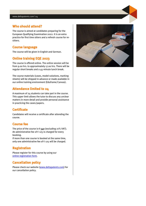#### **Who should attend?**

The course is aimed at candidates preparing for the European Qualifying Examination 2022. It is an extra practice for first time sitters and a refresh course for resitters.

#### **Course language**

The course will be given in English and German.

#### **Online training EQE 2023**

The course is offered online. The online session will be from 9.00 hrs. to approximately 17.00 hrs. There will be regular short breaks and a 45-minute lunch break.

The course materials (cases, model solutions, marking sheets) will be shipped in advance or made available in our online training environment (Eduframe/Canvas).

#### **Attendance limited to 24**

A maximum of 24 students can take part in the course. This upper limit allows the tutor to discuss any unclear matters in more detail and provide personal assistance in practicing the cases/papers.

#### **Certificate**

Candidates will receive a certificate after attending the course.

#### **Course fee**

The price of the course is **€** 540 (excluding 21% VAT). An administrative fee of  $\epsilon$  125 is charged for every booking.

If more than one course is booked at the same time, only one administrative fee of  $\epsilon$  125 will be charged.

#### **Registration**

Please register for this course by using our online registration form.

#### **Cancellation policy**

Please check our website (www.deltapatents.com) for our cancellation policy.

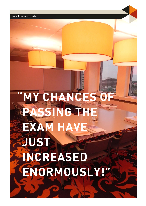"MY CHANCES O **PASSING THE EXAM HAVE JUST INCREASED ENORMOUSLY!"**

www.deltapatents.com | 05 www.deltapatents.com | 05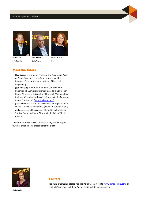#### www.deltapatents.com | 06







DeltaPatents DeltaPatents HGF

#### **Meet the Tutors**

- Nico Cordes is a tutor for Pre-Exam and Main Exam Paper A, B and C courses, also in German language. He is a European Patent Attorney in the field of Electrical Engineering.
- Jelle Hoekstra is a tutor for Pre-Exam, all Main Exam Papers and IP Administrators' courses. He is a European Patent Attorney. Jelle is author of the book "Methodology for Paper C" and of the book "References to the European Patent Convention" (www.hoekstradoc.nl).
- **Jessica Kroeze** is a tutor for the Main Exam Paper A and B courses, as well as for various general IP, patent drafting and patent formalities courses offered by DeltaPatents. She is a European Patent Attorney in the field of Physical Chemistry.

The tutors correct each year more than 125 A and B Papers together of candidates preparing for the exam.



**Contact** 

For more information please visit the DeltaPatents website (www.deltapatents.com) or contact Mieke Zonjee at DeltaPatents (training@deltapatents.com).

**Mieke Zonjee**